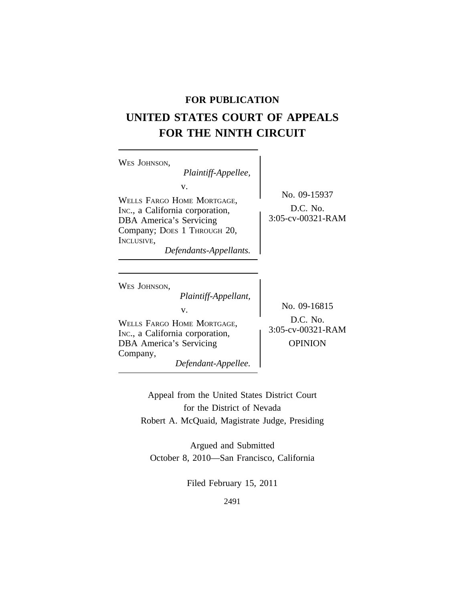# **FOR PUBLICATION**

# **UNITED STATES COURT OF APPEALS FOR THE NINTH CIRCUIT**

| WES JOHNSON,<br>Plaintiff-Appellee,<br>V.                                                                                                                       |                                                                   |
|-----------------------------------------------------------------------------------------------------------------------------------------------------------------|-------------------------------------------------------------------|
| WELLS FARGO HOME MORTGAGE,<br>Inc., a California corporation,<br>DBA America's Servicing<br>Company; DOES 1 THROUGH 20,<br>INCLUSIVE,<br>Defendants-Appellants. | No. 09-15937<br>D.C. No.<br>3:05-cv-00321-RAM                     |
| WES JOHNSON,<br>Plaintiff-Appellant,<br>V.<br>WELLS FARGO HOME MORTGAGE,<br>Inc., a California corporation,<br>DBA America's Servicing<br>Company,              | No. 09-16815<br>$D.C.$ No.<br>3:05-cv-00321-RAM<br><b>OPINION</b> |

*Defendant-Appellee.*

Appeal from the United States District Court for the District of Nevada Robert A. McQuaid, Magistrate Judge, Presiding

Argued and Submitted October 8, 2010—San Francisco, California

Filed February 15, 2011

2491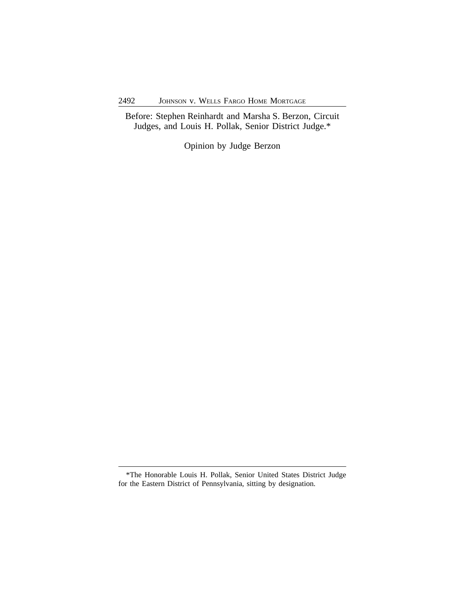Before: Stephen Reinhardt and Marsha S. Berzon, Circuit Judges, and Louis H. Pollak, Senior District Judge.\*

Opinion by Judge Berzon

<sup>\*</sup>The Honorable Louis H. Pollak, Senior United States District Judge for the Eastern District of Pennsylvania, sitting by designation.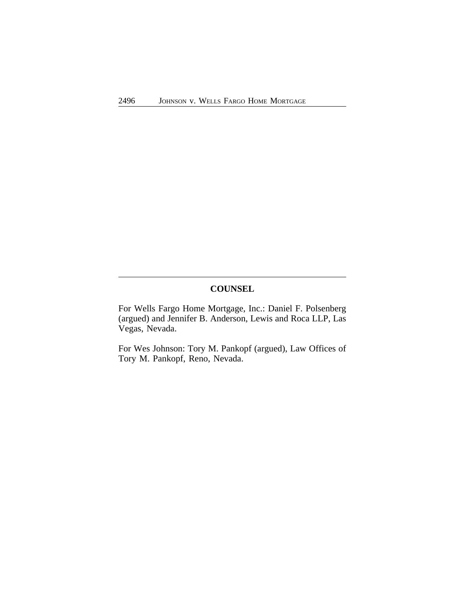# **COUNSEL**

For Wells Fargo Home Mortgage, Inc.: Daniel F. Polsenberg (argued) and Jennifer B. Anderson, Lewis and Roca LLP, Las Vegas, Nevada.

For Wes Johnson: Tory M. Pankopf (argued), Law Offices of Tory M. Pankopf, Reno, Nevada.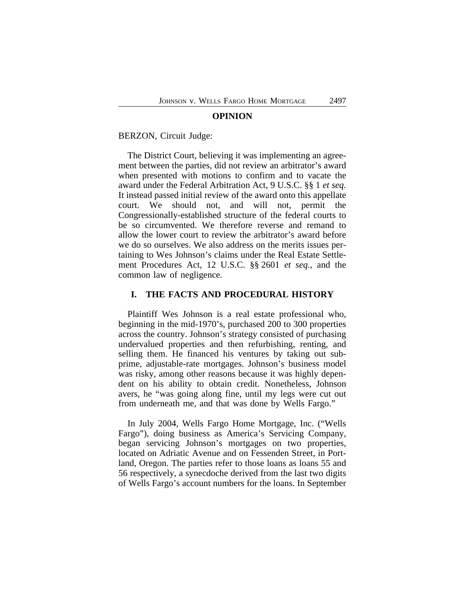#### **OPINION**

#### BERZON, Circuit Judge:

The District Court, believing it was implementing an agreement between the parties, did not review an arbitrator's award when presented with motions to confirm and to vacate the award under the Federal Arbitration Act, 9 U.S.C. §§ 1 *et seq.* It instead passed initial review of the award onto this appellate court. We should not, and will not, permit the Congressionally-established structure of the federal courts to be so circumvented. We therefore reverse and remand to allow the lower court to review the arbitrator's award before we do so ourselves. We also address on the merits issues pertaining to Wes Johnson's claims under the Real Estate Settlement Procedures Act, 12 U.S.C. §§ 2601 *et seq.*, and the common law of negligence*.*

#### **I. THE FACTS AND PROCEDURAL HISTORY**

Plaintiff Wes Johnson is a real estate professional who, beginning in the mid-1970's, purchased 200 to 300 properties across the country. Johnson's strategy consisted of purchasing undervalued properties and then refurbishing, renting, and selling them. He financed his ventures by taking out subprime, adjustable-rate mortgages. Johnson's business model was risky, among other reasons because it was highly dependent on his ability to obtain credit. Nonetheless, Johnson avers, he "was going along fine, until my legs were cut out from underneath me, and that was done by Wells Fargo."

In July 2004, Wells Fargo Home Mortgage, Inc. ("Wells Fargo"), doing business as America's Servicing Company, began servicing Johnson's mortgages on two properties, located on Adriatic Avenue and on Fessenden Street, in Portland, Oregon. The parties refer to those loans as loans 55 and 56 respectively, a synecdoche derived from the last two digits of Wells Fargo's account numbers for the loans. In September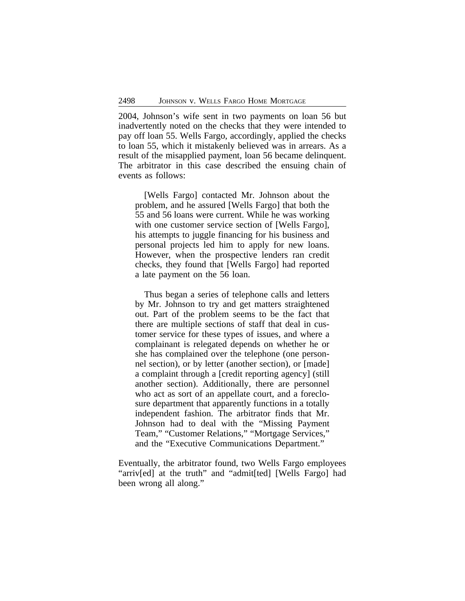2004, Johnson's wife sent in two payments on loan 56 but inadvertently noted on the checks that they were intended to pay off loan 55. Wells Fargo, accordingly, applied the checks to loan 55, which it mistakenly believed was in arrears. As a result of the misapplied payment, loan 56 became delinquent. The arbitrator in this case described the ensuing chain of events as follows:

[Wells Fargo] contacted Mr. Johnson about the problem, and he assured [Wells Fargo] that both the 55 and 56 loans were current. While he was working with one customer service section of [Wells Fargo], his attempts to juggle financing for his business and personal projects led him to apply for new loans. However, when the prospective lenders ran credit checks, they found that [Wells Fargo] had reported a late payment on the 56 loan.

Thus began a series of telephone calls and letters by Mr. Johnson to try and get matters straightened out. Part of the problem seems to be the fact that there are multiple sections of staff that deal in customer service for these types of issues, and where a complainant is relegated depends on whether he or she has complained over the telephone (one personnel section), or by letter (another section), or [made] a complaint through a [credit reporting agency] (still another section). Additionally, there are personnel who act as sort of an appellate court, and a foreclosure department that apparently functions in a totally independent fashion. The arbitrator finds that Mr. Johnson had to deal with the "Missing Payment Team," "Customer Relations," "Mortgage Services," and the "Executive Communications Department."

Eventually, the arbitrator found, two Wells Fargo employees "arriv[ed] at the truth" and "admit[ted] [Wells Fargo] had been wrong all along."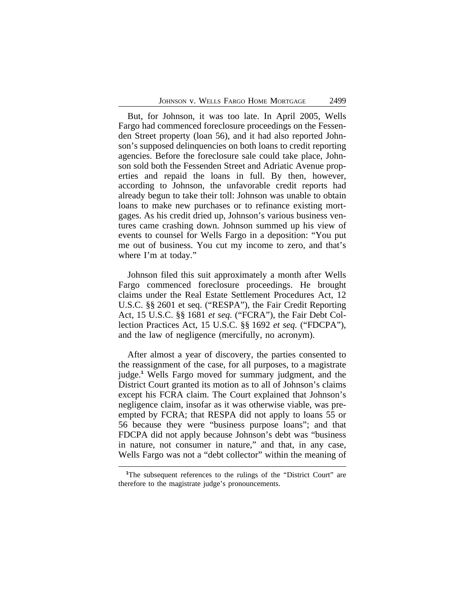But, for Johnson, it was too late. In April 2005, Wells Fargo had commenced foreclosure proceedings on the Fessenden Street property (loan 56), and it had also reported Johnson's supposed delinquencies on both loans to credit reporting agencies. Before the foreclosure sale could take place, Johnson sold both the Fessenden Street and Adriatic Avenue properties and repaid the loans in full. By then, however, according to Johnson, the unfavorable credit reports had already begun to take their toll: Johnson was unable to obtain loans to make new purchases or to refinance existing mortgages. As his credit dried up, Johnson's various business ventures came crashing down. Johnson summed up his view of events to counsel for Wells Fargo in a deposition: "You put me out of business. You cut my income to zero, and that's where I'm at today."

Johnson filed this suit approximately a month after Wells Fargo commenced foreclosure proceedings. He brought claims under the Real Estate Settlement Procedures Act, 12 U.S.C. §§ 2601 et seq. ("RESPA"), the Fair Credit Reporting Act, 15 U.S.C. §§ 1681 *et seq.* ("FCRA"), the Fair Debt Collection Practices Act, 15 U.S.C. §§ 1692 *et seq.* ("FDCPA"), and the law of negligence (mercifully, no acronym).

After almost a year of discovery, the parties consented to the reassignment of the case, for all purposes, to a magistrate judge.**<sup>1</sup>** Wells Fargo moved for summary judgment, and the District Court granted its motion as to all of Johnson's claims except his FCRA claim. The Court explained that Johnson's negligence claim, insofar as it was otherwise viable, was preempted by FCRA; that RESPA did not apply to loans 55 or 56 because they were "business purpose loans"; and that FDCPA did not apply because Johnson's debt was "business in nature, not consumer in nature," and that, in any case, Wells Fargo was not a "debt collector" within the meaning of

<sup>&</sup>lt;sup>1</sup>The subsequent references to the rulings of the "District Court" are therefore to the magistrate judge's pronouncements.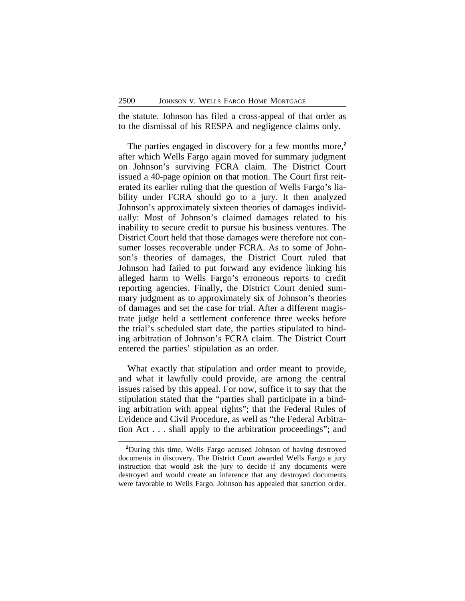the statute. Johnson has filed a cross-appeal of that order as to the dismissal of his RESPA and negligence claims only.

The parties engaged in discovery for a few months more,**<sup>2</sup>** after which Wells Fargo again moved for summary judgment on Johnson's surviving FCRA claim. The District Court issued a 40-page opinion on that motion. The Court first reiterated its earlier ruling that the question of Wells Fargo's liability under FCRA should go to a jury. It then analyzed Johnson's approximately sixteen theories of damages individually: Most of Johnson's claimed damages related to his inability to secure credit to pursue his business ventures. The District Court held that those damages were therefore not consumer losses recoverable under FCRA. As to some of Johnson's theories of damages, the District Court ruled that Johnson had failed to put forward any evidence linking his alleged harm to Wells Fargo's erroneous reports to credit reporting agencies. Finally, the District Court denied summary judgment as to approximately six of Johnson's theories of damages and set the case for trial. After a different magistrate judge held a settlement conference three weeks before the trial's scheduled start date, the parties stipulated to binding arbitration of Johnson's FCRA claim. The District Court entered the parties' stipulation as an order.

What exactly that stipulation and order meant to provide, and what it lawfully could provide, are among the central issues raised by this appeal. For now, suffice it to say that the stipulation stated that the "parties shall participate in a binding arbitration with appeal rights"; that the Federal Rules of Evidence and Civil Procedure, as well as "the Federal Arbitration Act . . . shall apply to the arbitration proceedings"; and

**<sup>2</sup>**During this time, Wells Fargo accused Johnson of having destroyed documents in discovery. The District Court awarded Wells Fargo a jury instruction that would ask the jury to decide if any documents were destroyed and would create an inference that any destroyed documents were favorable to Wells Fargo. Johnson has appealed that sanction order.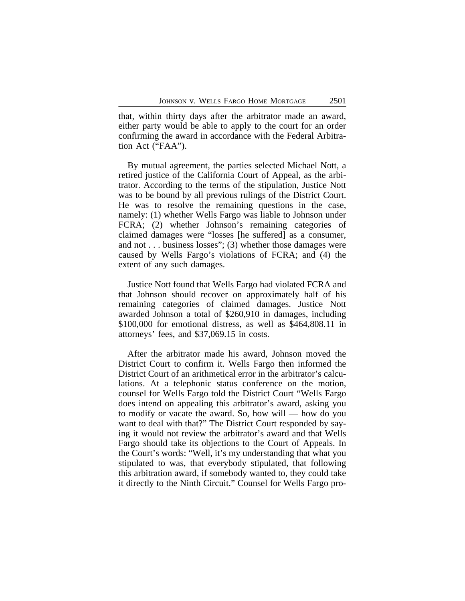that, within thirty days after the arbitrator made an award, either party would be able to apply to the court for an order confirming the award in accordance with the Federal Arbitration Act ("FAA").

By mutual agreement, the parties selected Michael Nott, a retired justice of the California Court of Appeal, as the arbitrator. According to the terms of the stipulation, Justice Nott was to be bound by all previous rulings of the District Court. He was to resolve the remaining questions in the case, namely: (1) whether Wells Fargo was liable to Johnson under FCRA; (2) whether Johnson's remaining categories of claimed damages were "losses [he suffered] as a consumer, and not . . . business losses"; (3) whether those damages were caused by Wells Fargo's violations of FCRA; and (4) the extent of any such damages.

Justice Nott found that Wells Fargo had violated FCRA and that Johnson should recover on approximately half of his remaining categories of claimed damages. Justice Nott awarded Johnson a total of \$260,910 in damages, including \$100,000 for emotional distress, as well as \$464,808.11 in attorneys' fees, and \$37,069.15 in costs.

After the arbitrator made his award, Johnson moved the District Court to confirm it. Wells Fargo then informed the District Court of an arithmetical error in the arbitrator's calculations. At a telephonic status conference on the motion, counsel for Wells Fargo told the District Court "Wells Fargo does intend on appealing this arbitrator's award, asking you to modify or vacate the award. So, how will — how do you want to deal with that?" The District Court responded by saying it would not review the arbitrator's award and that Wells Fargo should take its objections to the Court of Appeals. In the Court's words: "Well, it's my understanding that what you stipulated to was, that everybody stipulated, that following this arbitration award, if somebody wanted to, they could take it directly to the Ninth Circuit." Counsel for Wells Fargo pro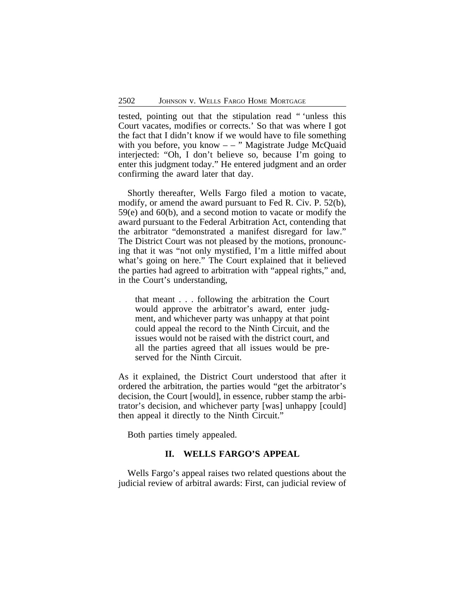tested, pointing out that the stipulation read " 'unless this Court vacates, modifies or corrects.' So that was where I got the fact that I didn't know if we would have to file something with you before, you know  $-$  – " Magistrate Judge McQuaid interjected: "Oh, I don't believe so, because I'm going to enter this judgment today." He entered judgment and an order confirming the award later that day.

Shortly thereafter, Wells Fargo filed a motion to vacate, modify, or amend the award pursuant to Fed R. Civ. P. 52(b), 59(e) and 60(b), and a second motion to vacate or modify the award pursuant to the Federal Arbitration Act, contending that the arbitrator "demonstrated a manifest disregard for law." The District Court was not pleased by the motions, pronouncing that it was "not only mystified, I'm a little miffed about what's going on here." The Court explained that it believed the parties had agreed to arbitration with "appeal rights," and, in the Court's understanding,

that meant . . . following the arbitration the Court would approve the arbitrator's award, enter judgment, and whichever party was unhappy at that point could appeal the record to the Ninth Circuit, and the issues would not be raised with the district court, and all the parties agreed that all issues would be preserved for the Ninth Circuit.

As it explained, the District Court understood that after it ordered the arbitration, the parties would "get the arbitrator's decision, the Court [would], in essence, rubber stamp the arbitrator's decision, and whichever party [was] unhappy [could] then appeal it directly to the Ninth Circuit."

Both parties timely appealed.

### **II. WELLS FARGO'S APPEAL**

Wells Fargo's appeal raises two related questions about the judicial review of arbitral awards: First, can judicial review of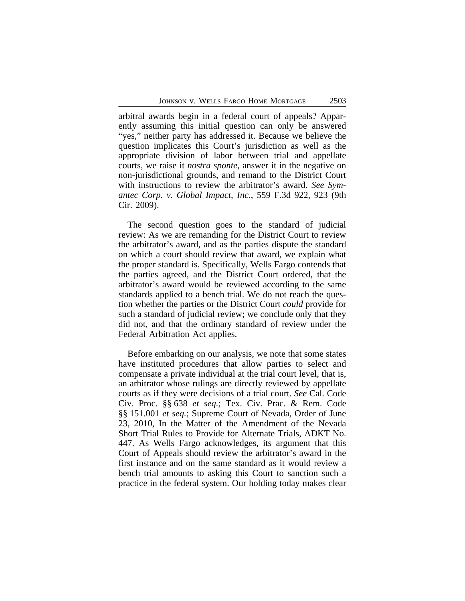arbitral awards begin in a federal court of appeals? Apparently assuming this initial question can only be answered "yes," neither party has addressed it. Because we believe the question implicates this Court's jurisdiction as well as the appropriate division of labor between trial and appellate courts, we raise it *nostra sponte*, answer it in the negative on non-jurisdictional grounds, and remand to the District Court with instructions to review the arbitrator's award. *See Symantec Corp. v. Global Impact, Inc.*, 559 F.3d 922, 923 (9th Cir. 2009).

The second question goes to the standard of judicial review: As we are remanding for the District Court to review the arbitrator's award, and as the parties dispute the standard on which a court should review that award, we explain what the proper standard is. Specifically, Wells Fargo contends that the parties agreed, and the District Court ordered, that the arbitrator's award would be reviewed according to the same standards applied to a bench trial. We do not reach the question whether the parties or the District Court *could* provide for such a standard of judicial review; we conclude only that they did not, and that the ordinary standard of review under the Federal Arbitration Act applies.

Before embarking on our analysis, we note that some states have instituted procedures that allow parties to select and compensate a private individual at the trial court level, that is, an arbitrator whose rulings are directly reviewed by appellate courts as if they were decisions of a trial court. *See* Cal. Code Civ. Proc. §§ 638 *et seq.*; Tex. Civ. Prac. & Rem. Code §§ 151.001 *et seq.*; Supreme Court of Nevada, Order of June 23, 2010, In the Matter of the Amendment of the Nevada Short Trial Rules to Provide for Alternate Trials, ADKT No. 447. As Wells Fargo acknowledges, its argument that this Court of Appeals should review the arbitrator's award in the first instance and on the same standard as it would review a bench trial amounts to asking this Court to sanction such a practice in the federal system. Our holding today makes clear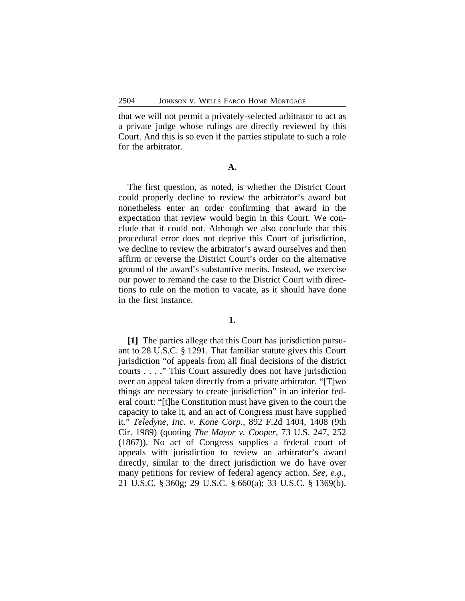that we will not permit a privately-selected arbitrator to act as a private judge whose rulings are directly reviewed by this Court. And this is so even if the parties stipulate to such a role for the arbitrator.

**A.**

The first question, as noted, is whether the District Court could properly decline to review the arbitrator's award but nonetheless enter an order confirming that award in the expectation that review would begin in this Court. We conclude that it could not. Although we also conclude that this procedural error does not deprive this Court of jurisdiction, we decline to review the arbitrator's award ourselves and then affirm or reverse the District Court's order on the alternative ground of the award's substantive merits. Instead, we exercise our power to remand the case to the District Court with directions to rule on the motion to vacate, as it should have done in the first instance.

### **1.**

**[1]** The parties allege that this Court has jurisdiction pursuant to 28 U.S.C. § 1291. That familiar statute gives this Court jurisdiction "of appeals from all final decisions of the district courts . . . ." This Court assuredly does not have jurisdiction over an appeal taken directly from a private arbitrator. "[T]wo things are necessary to create jurisdiction" in an inferior federal court: "[t]he Constitution must have given to the court the capacity to take it, and an act of Congress must have supplied it." *Teledyne, Inc. v. Kone Corp.*, 892 F.2d 1404, 1408 (9th Cir. 1989) (quoting *The Mayor v. Cooper*, 73 U.S. 247, 252 (1867)). No act of Congress supplies a federal court of appeals with jurisdiction to review an arbitrator's award directly, similar to the direct jurisdiction we do have over many petitions for review of federal agency action. *See, e.g.*, 21 U.S.C. § 360g; 29 U.S.C. § 660(a); 33 U.S.C. § 1369(b).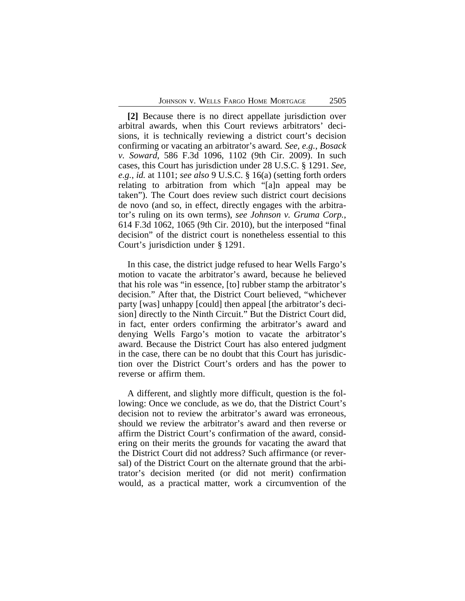**[2]** Because there is no direct appellate jurisdiction over arbitral awards, when this Court reviews arbitrators' decisions, it is technically reviewing a district court's decision confirming or vacating an arbitrator's award*. See, e.g.*, *Bosack v. Soward*, 586 F.3d 1096, 1102 (9th Cir. 2009). In such cases, this Court has jurisdiction under 28 U.S.C. § 1291. *See, e.g.*, *id.* at 1101; *see also* 9 U.S.C. § 16(a) (setting forth orders relating to arbitration from which "[a]n appeal may be taken"). The Court does review such district court decisions de novo (and so, in effect, directly engages with the arbitrator's ruling on its own terms), *see Johnson v. Gruma Corp.*, 614 F.3d 1062, 1065 (9th Cir. 2010), but the interposed "final decision" of the district court is nonetheless essential to this Court's jurisdiction under § 1291.

In this case, the district judge refused to hear Wells Fargo's motion to vacate the arbitrator's award, because he believed that his role was "in essence, [to] rubber stamp the arbitrator's decision." After that, the District Court believed, "whichever party [was] unhappy [could] then appeal [the arbitrator's decision] directly to the Ninth Circuit." But the District Court did, in fact, enter orders confirming the arbitrator's award and denying Wells Fargo's motion to vacate the arbitrator's award. Because the District Court has also entered judgment in the case, there can be no doubt that this Court has jurisdiction over the District Court's orders and has the power to reverse or affirm them.

A different, and slightly more difficult, question is the following: Once we conclude, as we do, that the District Court's decision not to review the arbitrator's award was erroneous, should we review the arbitrator's award and then reverse or affirm the District Court's confirmation of the award, considering on their merits the grounds for vacating the award that the District Court did not address? Such affirmance (or reversal) of the District Court on the alternate ground that the arbitrator's decision merited (or did not merit) confirmation would, as a practical matter, work a circumvention of the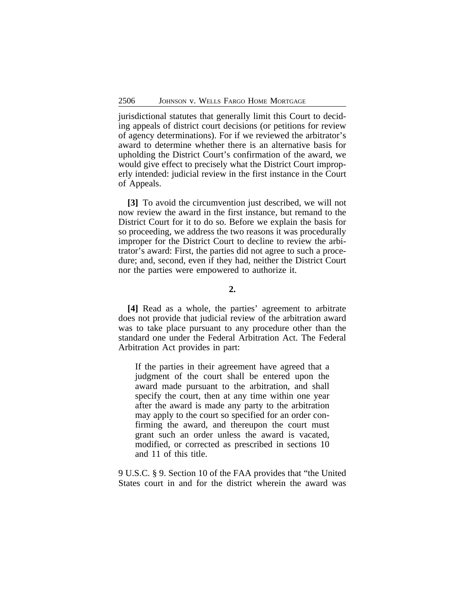jurisdictional statutes that generally limit this Court to deciding appeals of district court decisions (or petitions for review of agency determinations). For if we reviewed the arbitrator's award to determine whether there is an alternative basis for upholding the District Court's confirmation of the award, we would give effect to precisely what the District Court improperly intended: judicial review in the first instance in the Court of Appeals.

**[3]** To avoid the circumvention just described, we will not now review the award in the first instance, but remand to the District Court for it to do so. Before we explain the basis for so proceeding, we address the two reasons it was procedurally improper for the District Court to decline to review the arbitrator's award: First, the parties did not agree to such a procedure; and, second, even if they had, neither the District Court nor the parties were empowered to authorize it.

# **2.**

**[4]** Read as a whole, the parties' agreement to arbitrate does not provide that judicial review of the arbitration award was to take place pursuant to any procedure other than the standard one under the Federal Arbitration Act. The Federal Arbitration Act provides in part:

If the parties in their agreement have agreed that a judgment of the court shall be entered upon the award made pursuant to the arbitration, and shall specify the court, then at any time within one year after the award is made any party to the arbitration may apply to the court so specified for an order confirming the award, and thereupon the court must grant such an order unless the award is vacated, modified, or corrected as prescribed in sections 10 and 11 of this title.

9 U.S.C. § 9. Section 10 of the FAA provides that "the United States court in and for the district wherein the award was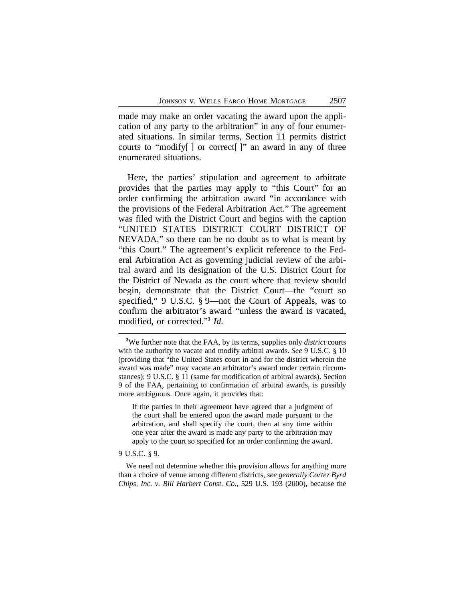made may make an order vacating the award upon the application of any party to the arbitration" in any of four enumerated situations. In similar terms, Section 11 permits district courts to "modify[ ] or correct[ ]" an award in any of three enumerated situations.

Here, the parties' stipulation and agreement to arbitrate provides that the parties may apply to "this Court" for an order confirming the arbitration award "in accordance with the provisions of the Federal Arbitration Act." The agreement was filed with the District Court and begins with the caption "UNITED STATES DISTRICT COURT DISTRICT OF NEVADA," so there can be no doubt as to what is meant by "this Court." The agreement's explicit reference to the Federal Arbitration Act as governing judicial review of the arbitral award and its designation of the U.S. District Court for the District of Nevada as the court where that review should begin, demonstrate that the District Court—the "court so specified," 9 U.S.C. § 9—not the Court of Appeals, was to confirm the arbitrator's award "unless the award is vacated, modified, or corrected." **3** *Id.*

If the parties in their agreement have agreed that a judgment of the court shall be entered upon the award made pursuant to the arbitration, and shall specify the court, then at any time within one year after the award is made any party to the arbitration may apply to the court so specified for an order confirming the award.

9 U.S.C. § 9.

We need not determine whether this provision allows for anything more than a choice of venue among different districts, *see generally Cortez Byrd Chips, Inc. v. Bill Harbert Const. Co.*, 529 U.S. 193 (2000), because the

**<sup>3</sup>**We further note that the FAA, by its terms, supplies only *district* courts with the authority to vacate and modify arbitral awards. *See* 9 U.S.C. § 10 (providing that "the United States court in and for the district wherein the award was made" may vacate an arbitrator's award under certain circumstances); 9 U.S.C. § 11 (same for modification of arbitral awards). Section 9 of the FAA, pertaining to confirmation of arbitral awards, is possibly more ambiguous. Once again, it provides that: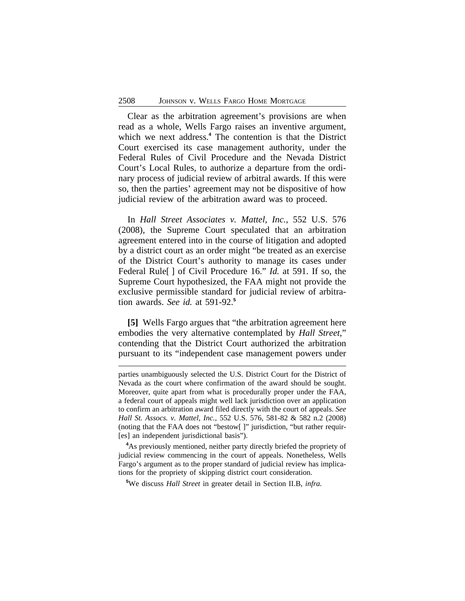Clear as the arbitration agreement's provisions are when read as a whole, Wells Fargo raises an inventive argument, which we next address.**<sup>4</sup>** The contention is that the District Court exercised its case management authority, under the Federal Rules of Civil Procedure and the Nevada District Court's Local Rules, to authorize a departure from the ordinary process of judicial review of arbitral awards. If this were so, then the parties' agreement may not be dispositive of how judicial review of the arbitration award was to proceed.

In *Hall Street Associates v. Mattel, Inc.*, 552 U.S. 576 (2008), the Supreme Court speculated that an arbitration agreement entered into in the course of litigation and adopted by a district court as an order might "be treated as an exercise of the District Court's authority to manage its cases under Federal Rule[ ] of Civil Procedure 16." *Id.* at 591. If so, the Supreme Court hypothesized, the FAA might not provide the exclusive permissible standard for judicial review of arbitration awards. *See id.* at 591-92.**<sup>5</sup>**

**[5]** Wells Fargo argues that "the arbitration agreement here embodies the very alternative contemplated by *Hall Street*," contending that the District Court authorized the arbitration pursuant to its "independent case management powers under

**<sup>5</sup>**We discuss *Hall Street* in greater detail in Section II.B, *infra.*

parties unambiguously selected the U.S. District Court for the District of Nevada as the court where confirmation of the award should be sought. Moreover, quite apart from what is procedurally proper under the FAA, a federal court of appeals might well lack jurisdiction over an application to confirm an arbitration award filed directly with the court of appeals. *See Hall St. Assocs. v. Mattel, Inc.*, 552 U.S. 576, 581-82 & 582 n.2 (2008) (noting that the FAA does not "bestow[ ]" jurisdiction, "but rather requir- [es] an independent jurisdictional basis").

**<sup>4</sup>**As previously mentioned, neither party directly briefed the propriety of judicial review commencing in the court of appeals. Nonetheless, Wells Fargo's argument as to the proper standard of judicial review has implications for the propriety of skipping district court consideration.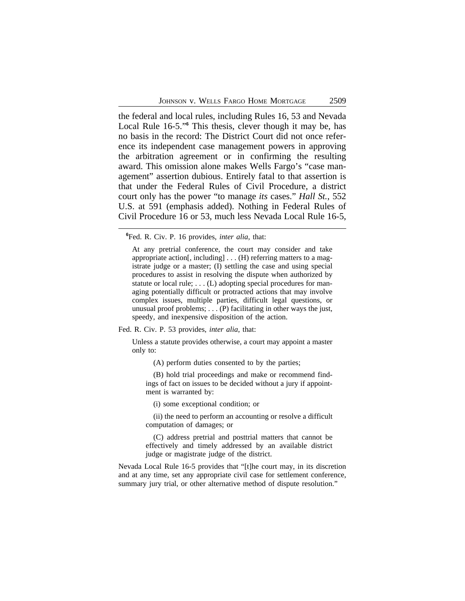the federal and local rules, including Rules 16, 53 and Nevada Local Rule 16-5."<sup>6</sup> This thesis, clever though it may be, has no basis in the record: The District Court did not once reference its independent case management powers in approving the arbitration agreement or in confirming the resulting award. This omission alone makes Wells Fargo's "case management" assertion dubious. Entirely fatal to that assertion is that under the Federal Rules of Civil Procedure, a district court only has the power "to manage *its* cases." *Hall St.*, 552 U.S. at 591 (emphasis added). Nothing in Federal Rules of Civil Procedure 16 or 53, much less Nevada Local Rule 16-5,

At any pretrial conference, the court may consider and take appropriate action[, including] . . . (H) referring matters to a magistrate judge or a master; (I) settling the case and using special procedures to assist in resolving the dispute when authorized by statute or local rule; . . . (L) adopting special procedures for managing potentially difficult or protracted actions that may involve complex issues, multiple parties, difficult legal questions, or unusual proof problems; . . . (P) facilitating in other ways the just, speedy, and inexpensive disposition of the action.

Fed. R. Civ. P. 53 provides, *inter alia*, that:

Unless a statute provides otherwise, a court may appoint a master only to:

(A) perform duties consented to by the parties;

(B) hold trial proceedings and make or recommend findings of fact on issues to be decided without a jury if appointment is warranted by:

(i) some exceptional condition; or

(ii) the need to perform an accounting or resolve a difficult computation of damages; or

(C) address pretrial and posttrial matters that cannot be effectively and timely addressed by an available district judge or magistrate judge of the district.

Nevada Local Rule 16-5 provides that "[t]he court may, in its discretion and at any time, set any appropriate civil case for settlement conference, summary jury trial, or other alternative method of dispute resolution."

**<sup>6</sup>**Fed. R. Civ. P. 16 provides, *inter alia*, that: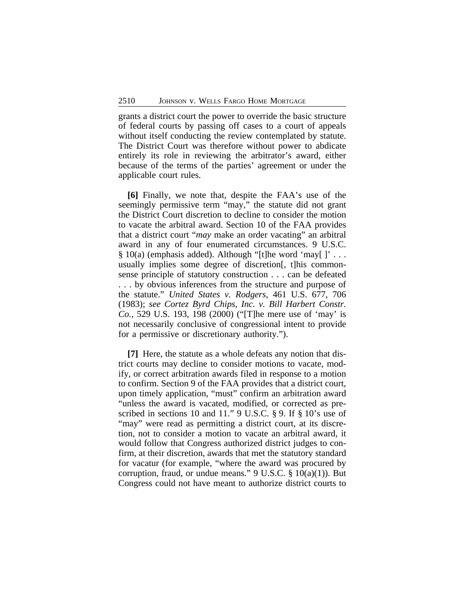grants a district court the power to override the basic structure of federal courts by passing off cases to a court of appeals without itself conducting the review contemplated by statute. The District Court was therefore without power to abdicate entirely its role in reviewing the arbitrator's award, either because of the terms of the parties' agreement or under the applicable court rules.

**[6]** Finally, we note that, despite the FAA's use of the seemingly permissive term "may," the statute did not grant the District Court discretion to decline to consider the motion to vacate the arbitral award. Section 10 of the FAA provides that a district court "*may* make an order vacating" an arbitral award in any of four enumerated circumstances. 9 U.S.C.  $§ 10(a)$  (emphasis added). Although "[t]he word 'may[]'... usually implies some degree of discretion[, t]his commonsense principle of statutory construction . . . can be defeated . . . by obvious inferences from the structure and purpose of the statute." *United States v. Rodgers*, 461 U.S. 677, 706 (1983); *see Cortez Byrd Chips, Inc. v. Bill Harbert Constr. Co.*, 529 U.S. 193, 198 (2000) ("[T]he mere use of 'may' is not necessarily conclusive of congressional intent to provide for a permissive or discretionary authority.").

**[7]** Here, the statute as a whole defeats any notion that district courts may decline to consider motions to vacate, modify, or correct arbitration awards filed in response to a motion to confirm. Section 9 of the FAA provides that a district court, upon timely application, "must" confirm an arbitration award "unless the award is vacated, modified, or corrected as prescribed in sections 10 and 11." 9 U.S.C. § 9. If § 10's use of "may" were read as permitting a district court, at its discretion, not to consider a motion to vacate an arbitral award, it would follow that Congress authorized district judges to confirm, at their discretion, awards that met the statutory standard for vacatur (for example, "where the award was procured by corruption, fraud, or undue means."  $9 \text{ U.S.C. } § 10(a)(1)$ ). But Congress could not have meant to authorize district courts to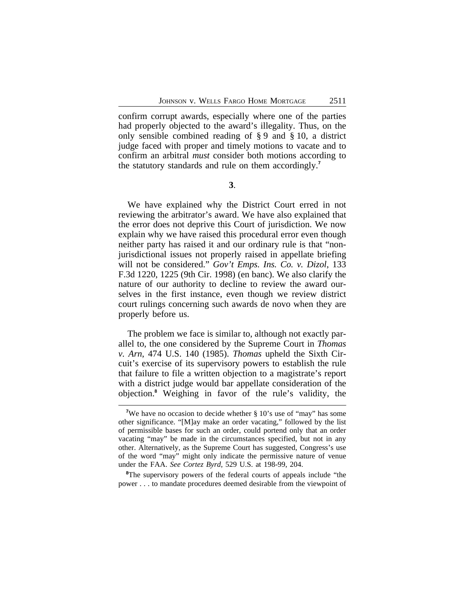confirm corrupt awards, especially where one of the parties had properly objected to the award's illegality. Thus, on the only sensible combined reading of § 9 and § 10, a district judge faced with proper and timely motions to vacate and to confirm an arbitral *must* consider both motions according to the statutory standards and rule on them accordingly.**<sup>7</sup>**

**3**.

We have explained why the District Court erred in not reviewing the arbitrator's award. We have also explained that the error does not deprive this Court of jurisdiction. We now explain why we have raised this procedural error even though neither party has raised it and our ordinary rule is that "nonjurisdictional issues not properly raised in appellate briefing will not be considered." *Gov't Emps. Ins. Co. v. Dizol*, 133 F.3d 1220, 1225 (9th Cir. 1998) (en banc). We also clarify the nature of our authority to decline to review the award ourselves in the first instance, even though we review district court rulings concerning such awards de novo when they are properly before us.

The problem we face is similar to, although not exactly parallel to, the one considered by the Supreme Court in *Thomas v. Arn*, 474 U.S. 140 (1985). *Thomas* upheld the Sixth Circuit's exercise of its supervisory powers to establish the rule that failure to file a written objection to a magistrate's report with a district judge would bar appellate consideration of the objection.**<sup>8</sup>** Weighing in favor of the rule's validity, the

<sup>8</sup>The supervisory powers of the federal courts of appeals include "the power . . . to mandate procedures deemed desirable from the viewpoint of

<sup>&</sup>lt;sup>7</sup>We have no occasion to decide whether § 10's use of "may" has some other significance. "[M]ay make an order vacating," followed by the list of permissible bases for such an order, could portend only that an order vacating "may" be made in the circumstances specified, but not in any other. Alternatively, as the Supreme Court has suggested, Congress's use of the word "may" might only indicate the permissive nature of venue under the FAA. *See Cortez Byrd*, 529 U.S. at 198-99, 204.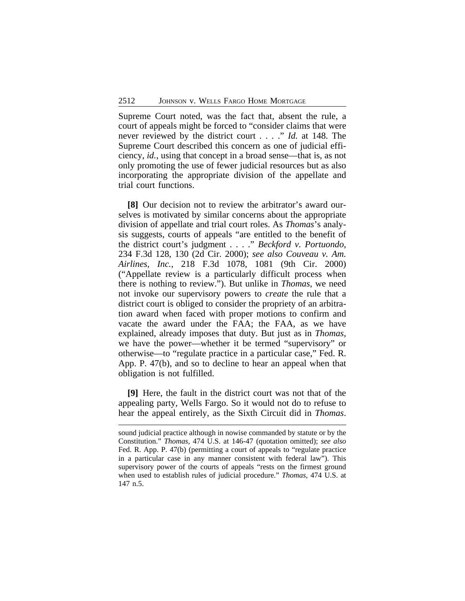Supreme Court noted, was the fact that, absent the rule, a court of appeals might be forced to "consider claims that were never reviewed by the district court . . . ." *Id.* at 148. The Supreme Court described this concern as one of judicial efficiency, *id.*, using that concept in a broad sense—that is, as not only promoting the use of fewer judicial resources but as also incorporating the appropriate division of the appellate and trial court functions.

**[8]** Our decision not to review the arbitrator's award ourselves is motivated by similar concerns about the appropriate division of appellate and trial court roles. As *Thomas*'s analysis suggests, courts of appeals "are entitled to the benefit of the district court's judgment . . . ." *Beckford v. Portuondo*, 234 F.3d 128, 130 (2d Cir. 2000); *see also Couveau v. Am. Airlines, Inc.*, 218 F.3d 1078, 1081 (9th Cir. 2000) ("Appellate review is a particularly difficult process when there is nothing to review."). But unlike in *Thomas*, we need not invoke our supervisory powers to *create* the rule that a district court is obliged to consider the propriety of an arbitration award when faced with proper motions to confirm and vacate the award under the FAA; the FAA, as we have explained, already imposes that duty. But just as in *Thomas*, we have the power—whether it be termed "supervisory" or otherwise—to "regulate practice in a particular case," Fed. R. App. P. 47(b), and so to decline to hear an appeal when that obligation is not fulfilled.

**[9]** Here, the fault in the district court was not that of the appealing party, Wells Fargo. So it would not do to refuse to hear the appeal entirely, as the Sixth Circuit did in *Thomas*.

sound judicial practice although in nowise commanded by statute or by the Constitution." *Thomas*, 474 U.S. at 146-47 (quotation omitted); *see also* Fed. R. App. P. 47(b) (permitting a court of appeals to "regulate practice in a particular case in any manner consistent with federal law"). This supervisory power of the courts of appeals "rests on the firmest ground when used to establish rules of judicial procedure." *Thomas*, 474 U.S. at 147 n.5.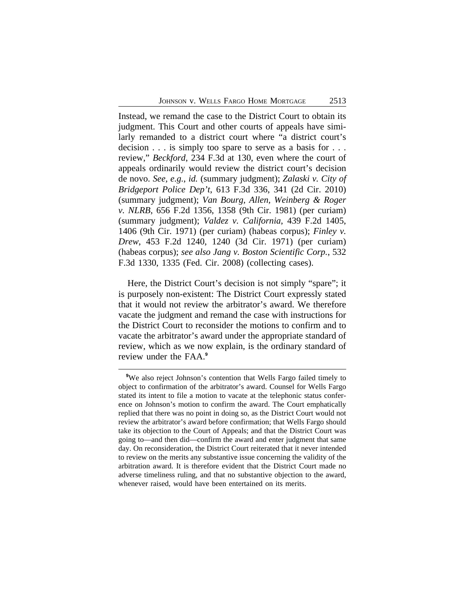Instead, we remand the case to the District Court to obtain its judgment. This Court and other courts of appeals have similarly remanded to a district court where "a district court's decision . . . is simply too spare to serve as a basis for . . . review," *Beckford*, 234 F.3d at 130, even where the court of appeals ordinarily would review the district court's decision de novo. *See, e.g.*, *id.* (summary judgment); *Zalaski v. City of Bridgeport Police Dep't*, 613 F.3d 336, 341 (2d Cir. 2010) (summary judgment); *Van Bourg, Allen, Weinberg & Roger v. NLRB*, 656 F.2d 1356, 1358 (9th Cir. 1981) (per curiam) (summary judgment); *Valdez v. California*, 439 F.2d 1405, 1406 (9th Cir. 1971) (per curiam) (habeas corpus); *Finley v. Drew*, 453 F.2d 1240, 1240 (3d Cir. 1971) (per curiam) (habeas corpus); *see also Jang v. Boston Scientific Corp.*, 532 F.3d 1330, 1335 (Fed. Cir. 2008) (collecting cases).

Here, the District Court's decision is not simply "spare"; it is purposely non-existent: The District Court expressly stated that it would not review the arbitrator's award. We therefore vacate the judgment and remand the case with instructions for the District Court to reconsider the motions to confirm and to vacate the arbitrator's award under the appropriate standard of review, which as we now explain, is the ordinary standard of review under the FAA.**<sup>9</sup>**

<sup>&</sup>lt;sup>9</sup>We also reject Johnson's contention that Wells Fargo failed timely to object to confirmation of the arbitrator's award. Counsel for Wells Fargo stated its intent to file a motion to vacate at the telephonic status conference on Johnson's motion to confirm the award. The Court emphatically replied that there was no point in doing so, as the District Court would not review the arbitrator's award before confirmation; that Wells Fargo should take its objection to the Court of Appeals; and that the District Court was going to—and then did—confirm the award and enter judgment that same day. On reconsideration, the District Court reiterated that it never intended to review on the merits any substantive issue concerning the validity of the arbitration award. It is therefore evident that the District Court made no adverse timeliness ruling, and that no substantive objection to the award, whenever raised, would have been entertained on its merits.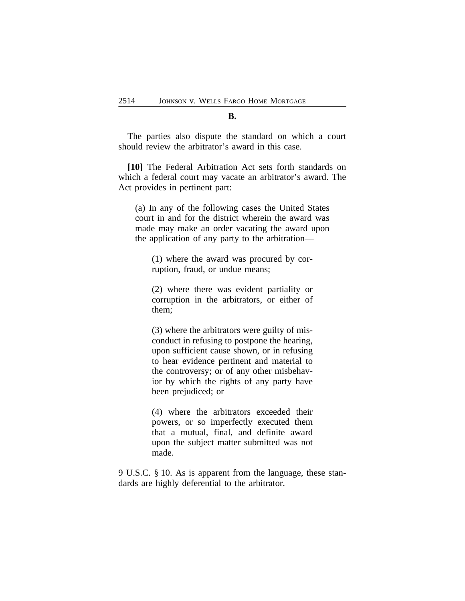#### **B.**

The parties also dispute the standard on which a court should review the arbitrator's award in this case.

**[10]** The Federal Arbitration Act sets forth standards on which a federal court may vacate an arbitrator's award. The Act provides in pertinent part:

(a) In any of the following cases the United States court in and for the district wherein the award was made may make an order vacating the award upon the application of any party to the arbitration—

(1) where the award was procured by corruption, fraud, or undue means;

(2) where there was evident partiality or corruption in the arbitrators, or either of them;

(3) where the arbitrators were guilty of misconduct in refusing to postpone the hearing, upon sufficient cause shown, or in refusing to hear evidence pertinent and material to the controversy; or of any other misbehavior by which the rights of any party have been prejudiced; or

(4) where the arbitrators exceeded their powers, or so imperfectly executed them that a mutual, final, and definite award upon the subject matter submitted was not made.

9 U.S.C. § 10. As is apparent from the language, these standards are highly deferential to the arbitrator.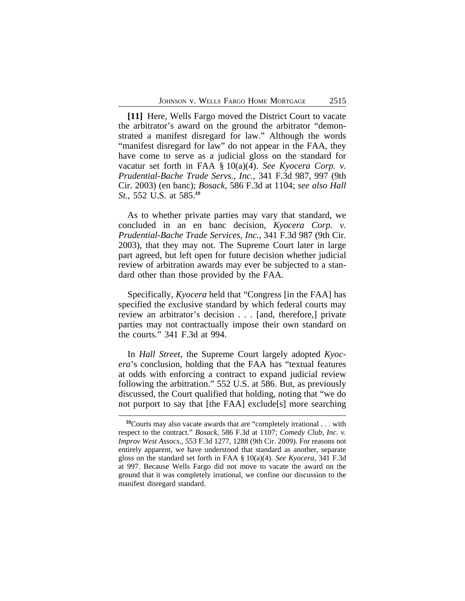**[11]** Here, Wells Fargo moved the District Court to vacate the arbitrator's award on the ground the arbitrator "demonstrated a manifest disregard for law." Although the words "manifest disregard for law" do not appear in the FAA, they have come to serve as a judicial gloss on the standard for vacatur set forth in FAA § 10(a)(4). *See Kyocera Corp. v. Prudential-Bache Trade Servs., Inc.*, 341 F.3d 987, 997 (9th Cir. 2003) (en banc); *Bosack*, 586 F.3d at 1104; *see also Hall St.*, 552 U.S. at 585.**<sup>10</sup>**

As to whether private parties may vary that standard, we concluded in an en banc decision, *Kyocera Corp. v. Prudential-Bache Trade Services, Inc.*, 341 F.3d 987 (9th Cir. 2003), that they may not. The Supreme Court later in large part agreed, but left open for future decision whether judicial review of arbitration awards may ever be subjected to a standard other than those provided by the FAA.

Specifically, *Kyocera* held that "Congress [in the FAA] has specified the exclusive standard by which federal courts may review an arbitrator's decision . . . [and, therefore,] private parties may not contractually impose their own standard on the courts." 341 F.3d at 994.

In *Hall Street*, the Supreme Court largely adopted *Kyocera*'s conclusion, holding that the FAA has "textual features at odds with enforcing a contract to expand judicial review following the arbitration." 552 U.S. at 586. But, as previously discussed, the Court qualified that holding, noting that "we do not purport to say that [the FAA] exclude[s] more searching

**<sup>10</sup>**Courts may also vacate awards that are "completely irrational . . . with respect to the contract." *Bosack*, 586 F.3d at 1107; *Comedy Club, Inc. v. Improv West Assocs.*, 553 F.3d 1277, 1288 (9th Cir. 2009). For reasons not entirely apparent, we have understood that standard as another, separate gloss on the standard set forth in FAA § 10(a)(4). *See Kyocera*, 341 F.3d at 997. Because Wells Fargo did not move to vacate the award on the ground that it was completely irrational, we confine our discussion to the manifest disregard standard.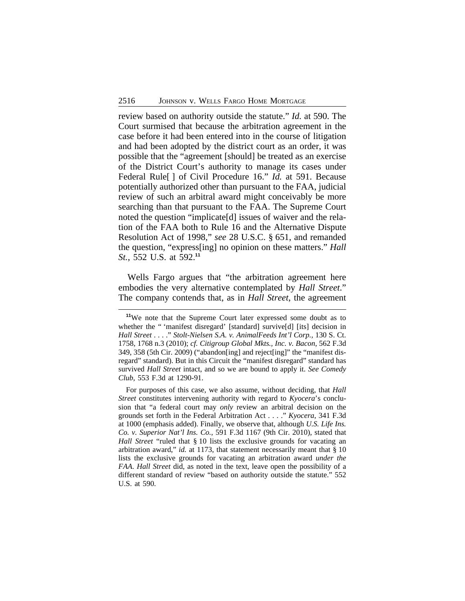review based on authority outside the statute." *Id.* at 590. The Court surmised that because the arbitration agreement in the case before it had been entered into in the course of litigation and had been adopted by the district court as an order, it was possible that the "agreement [should] be treated as an exercise of the District Court's authority to manage its cases under Federal Rule[ ] of Civil Procedure 16." *Id.* at 591. Because potentially authorized other than pursuant to the FAA, judicial review of such an arbitral award might conceivably be more searching than that pursuant to the FAA. The Supreme Court noted the question "implicate[d] issues of waiver and the relation of the FAA both to Rule 16 and the Alternative Dispute Resolution Act of 1998," *see* 28 U.S.C. § 651, and remanded the question, "express[ing] no opinion on these matters." *Hall St.*, 552 U.S. at 592.**<sup>11</sup>**

Wells Fargo argues that "the arbitration agreement here embodies the very alternative contemplated by *Hall Street*." The company contends that, as in *Hall Street*, the agreement

**<sup>11</sup>**We note that the Supreme Court later expressed some doubt as to whether the " 'manifest disregard' [standard] survive[d] [its] decision in *Hall Street* . . . ." *Stolt-Nielsen S.A. v. AnimalFeeds Int'l Corp.,* 130 S. Ct. 1758, 1768 n.3 (2010); *cf. Citigroup Global Mkts., Inc. v. Bacon*, 562 F.3d 349, 358 (5th Cir. 2009) ("abandon[ing] and reject[ing]" the "manifest disregard" standard). But in this Circuit the "manifest disregard" standard has survived *Hall Street* intact, and so we are bound to apply it. *See Comedy Club*, 553 F.3d at 1290-91.

For purposes of this case, we also assume, without deciding, that *Hall Street* constitutes intervening authority with regard to *Kyocera*'s conclusion that "a federal court may *only* review an arbitral decision on the grounds set forth in the Federal Arbitration Act . . . ." *Kyocera*, 341 F.3d at 1000 (emphasis added). Finally, we observe that, although *U.S. Life Ins. Co. v. Superior Nat'l Ins. Co.*, 591 F.3d 1167 (9th Cir. 2010), stated that *Hall Street* "ruled that § 10 lists the exclusive grounds for vacating an arbitration award," *id.* at 1173, that statement necessarily meant that § 10 lists the exclusive grounds for vacating an arbitration award *under the FAA*. *Hall Street* did, as noted in the text, leave open the possibility of a different standard of review "based on authority outside the statute." 552 U.S. at 590.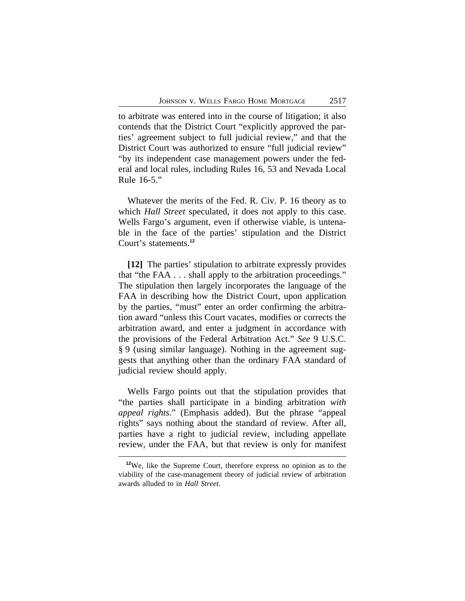to arbitrate was entered into in the course of litigation; it also contends that the District Court "explicitly approved the parties' agreement subject to full judicial review," and that the District Court was authorized to ensure "full judicial review" "by its independent case management powers under the federal and local rules, including Rules 16, 53 and Nevada Local Rule 16-5."

Whatever the merits of the Fed. R. Civ. P. 16 theory as to which *Hall Street* speculated, it does not apply to this case. Wells Fargo's argument, even if otherwise viable, is untenable in the face of the parties' stipulation and the District Court's statements.**<sup>12</sup>**

**[12]** The parties' stipulation to arbitrate expressly provides that "the FAA . . . shall apply to the arbitration proceedings." The stipulation then largely incorporates the language of the FAA in describing how the District Court, upon application by the parties, "must" enter an order confirming the arbitration award "unless this Court vacates, modifies or corrects the arbitration award, and enter a judgment in accordance with the provisions of the Federal Arbitration Act." *See* 9 U.S.C. § 9 (using similar language). Nothing in the agreement suggests that anything other than the ordinary FAA standard of judicial review should apply.

Wells Fargo points out that the stipulation provides that "the parties shall participate in a binding arbitration *with appeal rights*." (Emphasis added). But the phrase "appeal rights" says nothing about the standard of review. After all, parties have a right to judicial review, including appellate review, under the FAA, but that review is only for manifest

**<sup>12</sup>**We, like the Supreme Court, therefore express no opinion as to the viability of the case-management theory of judicial review of arbitration awards alluded to in *Hall Street*.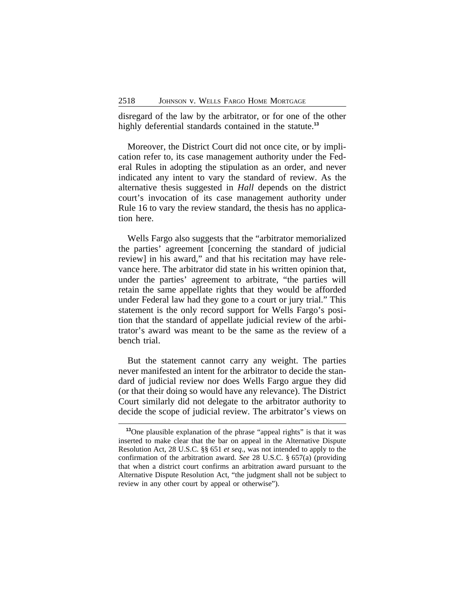disregard of the law by the arbitrator, or for one of the other highly deferential standards contained in the statute.**<sup>13</sup>**

Moreover, the District Court did not once cite, or by implication refer to, its case management authority under the Federal Rules in adopting the stipulation as an order, and never indicated any intent to vary the standard of review. As the alternative thesis suggested in *Hall* depends on the district court's invocation of its case management authority under Rule 16 to vary the review standard, the thesis has no application here.

Wells Fargo also suggests that the "arbitrator memorialized the parties' agreement [concerning the standard of judicial review] in his award," and that his recitation may have relevance here. The arbitrator did state in his written opinion that, under the parties' agreement to arbitrate, "the parties will retain the same appellate rights that they would be afforded under Federal law had they gone to a court or jury trial." This statement is the only record support for Wells Fargo's position that the standard of appellate judicial review of the arbitrator's award was meant to be the same as the review of a bench trial.

But the statement cannot carry any weight. The parties never manifested an intent for the arbitrator to decide the standard of judicial review nor does Wells Fargo argue they did (or that their doing so would have any relevance). The District Court similarly did not delegate to the arbitrator authority to decide the scope of judicial review. The arbitrator's views on

**<sup>13</sup>**One plausible explanation of the phrase "appeal rights" is that it was inserted to make clear that the bar on appeal in the Alternative Dispute Resolution Act, 28 U.S.C. §§ 651 *et seq.*, was not intended to apply to the confirmation of the arbitration award. *See* 28 U.S.C. § 657(a) (providing that when a district court confirms an arbitration award pursuant to the Alternative Dispute Resolution Act, "the judgment shall not be subject to review in any other court by appeal or otherwise").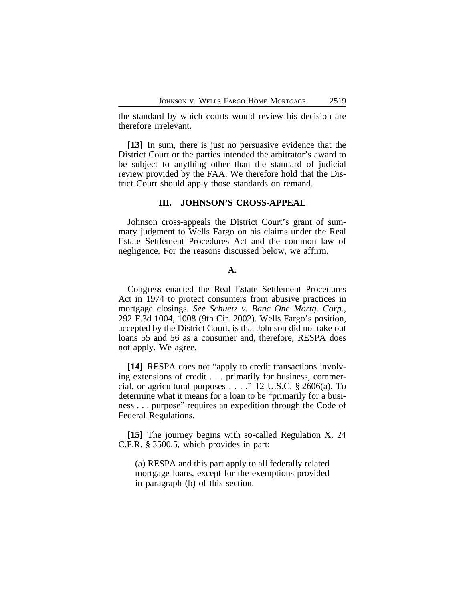the standard by which courts would review his decision are therefore irrelevant.

**[13]** In sum, there is just no persuasive evidence that the District Court or the parties intended the arbitrator's award to be subject to anything other than the standard of judicial review provided by the FAA. We therefore hold that the District Court should apply those standards on remand.

# **III. JOHNSON'S CROSS-APPEAL**

Johnson cross-appeals the District Court's grant of summary judgment to Wells Fargo on his claims under the Real Estate Settlement Procedures Act and the common law of negligence. For the reasons discussed below, we affirm.

# **A.**

Congress enacted the Real Estate Settlement Procedures Act in 1974 to protect consumers from abusive practices in mortgage closings*. See Schuetz v. Banc One Mortg. Corp.*, 292 F.3d 1004, 1008 (9th Cir. 2002). Wells Fargo's position, accepted by the District Court, is that Johnson did not take out loans 55 and 56 as a consumer and, therefore, RESPA does not apply. We agree.

**[14]** RESPA does not "apply to credit transactions involving extensions of credit . . . primarily for business, commercial, or agricultural purposes . . . ." 12 U.S.C. § 2606(a). To determine what it means for a loan to be "primarily for a business . . . purpose" requires an expedition through the Code of Federal Regulations.

**[15]** The journey begins with so-called Regulation X, 24 C.F.R. § 3500.5, which provides in part:

(a) RESPA and this part apply to all federally related mortgage loans, except for the exemptions provided in paragraph (b) of this section.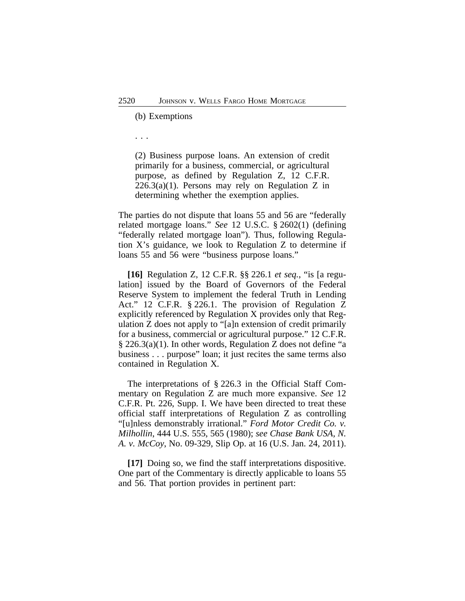(b) Exemptions

. . .

(2) Business purpose loans. An extension of credit primarily for a business, commercial, or agricultural purpose, as defined by Regulation Z, 12 C.F.R.  $226.3(a)(1)$ . Persons may rely on Regulation Z in determining whether the exemption applies.

The parties do not dispute that loans 55 and 56 are "federally related mortgage loans." *See* 12 U.S.C. § 2602(1) (defining "federally related mortgage loan"). Thus, following Regulation X's guidance, we look to Regulation Z to determine if loans 55 and 56 were "business purpose loans."

**[16]** Regulation Z, 12 C.F.R. §§ 226.1 *et seq.*, "is [a regulation] issued by the Board of Governors of the Federal Reserve System to implement the federal Truth in Lending Act." 12 C.F.R. § 226.1. The provision of Regulation Z explicitly referenced by Regulation X provides only that Regulation Z does not apply to "[a]n extension of credit primarily for a business, commercial or agricultural purpose." 12 C.F.R. § 226.3(a)(1). In other words, Regulation Z does not define "a business . . . purpose" loan; it just recites the same terms also contained in Regulation X*.*

The interpretations of § 226.3 in the Official Staff Commentary on Regulation Z are much more expansive. *See* 12 C.F.R. Pt. 226, Supp. I. We have been directed to treat these official staff interpretations of Regulation Z as controlling "[u]nless demonstrably irrational." *Ford Motor Credit Co. v. Milhollin*, 444 U.S. 555, 565 (1980); *see Chase Bank USA, N. A. v. McCoy*, No. 09-329, Slip Op. at 16 (U.S. Jan. 24, 2011).

**[17]** Doing so, we find the staff interpretations dispositive. One part of the Commentary is directly applicable to loans 55 and 56. That portion provides in pertinent part: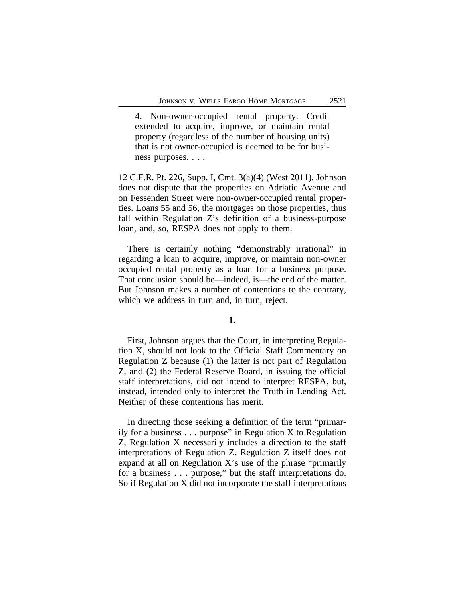4. Non-owner-occupied rental property. Credit extended to acquire, improve, or maintain rental property (regardless of the number of housing units) that is not owner-occupied is deemed to be for business purposes. . . .

12 C.F.R. Pt. 226, Supp. I, Cmt. 3(a)(4) (West 2011). Johnson does not dispute that the properties on Adriatic Avenue and on Fessenden Street were non-owner-occupied rental properties. Loans 55 and 56, the mortgages on those properties, thus fall within Regulation Z's definition of a business-purpose loan, and, so, RESPA does not apply to them.

There is certainly nothing "demonstrably irrational" in regarding a loan to acquire, improve, or maintain non-owner occupied rental property as a loan for a business purpose. That conclusion should be—indeed, is—the end of the matter. But Johnson makes a number of contentions to the contrary, which we address in turn and, in turn, reject.

# **1.**

First, Johnson argues that the Court, in interpreting Regulation X, should not look to the Official Staff Commentary on Regulation Z because (1) the latter is not part of Regulation Z, and (2) the Federal Reserve Board, in issuing the official staff interpretations, did not intend to interpret RESPA, but, instead, intended only to interpret the Truth in Lending Act. Neither of these contentions has merit.

In directing those seeking a definition of the term "primarily for a business . . . purpose" in Regulation X to Regulation Z, Regulation X necessarily includes a direction to the staff interpretations of Regulation Z. Regulation Z itself does not expand at all on Regulation X's use of the phrase "primarily for a business . . . purpose," but the staff interpretations do. So if Regulation X did not incorporate the staff interpretations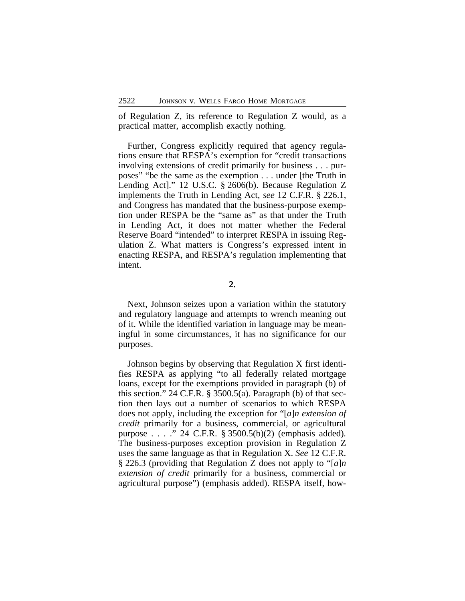of Regulation Z, its reference to Regulation Z would, as a practical matter, accomplish exactly nothing.

Further, Congress explicitly required that agency regulations ensure that RESPA's exemption for "credit transactions involving extensions of credit primarily for business . . . purposes" "be the same as the exemption . . . under [the Truth in Lending Act]." 12 U.S.C. § 2606(b). Because Regulation Z implements the Truth in Lending Act*, see* 12 C.F.R. § 226.1, and Congress has mandated that the business-purpose exemption under RESPA be the "same as" as that under the Truth in Lending Act, it does not matter whether the Federal Reserve Board "intended" to interpret RESPA in issuing Regulation Z. What matters is Congress's expressed intent in enacting RESPA, and RESPA's regulation implementing that intent.

**2.**

Next, Johnson seizes upon a variation within the statutory and regulatory language and attempts to wrench meaning out of it. While the identified variation in language may be meaningful in some circumstances, it has no significance for our purposes.

Johnson begins by observing that Regulation X first identifies RESPA as applying "to all federally related mortgage loans, except for the exemptions provided in paragraph (b) of this section." 24 C.F.R. § 3500.5(a). Paragraph (b) of that section then lays out a number of scenarios to which RESPA does not apply, including the exception for "[*a*]*n extension of credit* primarily for a business, commercial, or agricultural purpose . . . ." 24 C.F.R. § 3500.5(b)(2) (emphasis added)*.* The business-purposes exception provision in Regulation Z uses the same language as that in Regulation X. *See* 12 C.F.R. § 226.3 (providing that Regulation Z does not apply to "[*a*]*n extension of credit* primarily for a business, commercial or agricultural purpose") (emphasis added). RESPA itself, how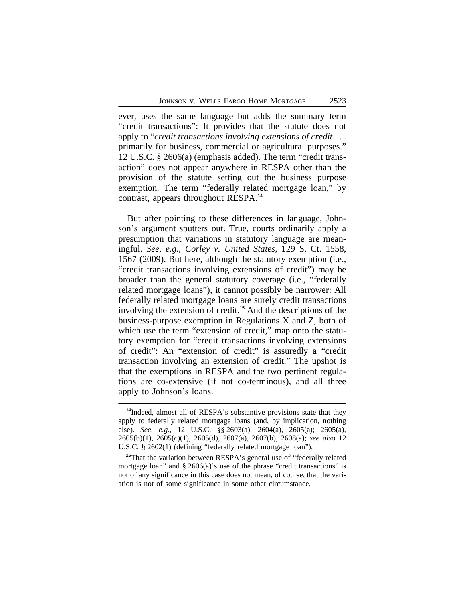ever, uses the same language but adds the summary term "credit transactions": It provides that the statute does not apply to "*credit transactions involving extensions of credit* . . . primarily for business, commercial or agricultural purposes." 12 U.S.C. § 2606(a) (emphasis added). The term "credit transaction" does not appear anywhere in RESPA other than the provision of the statute setting out the business purpose exemption. The term "federally related mortgage loan," by contrast, appears throughout RESPA.**<sup>14</sup>**

But after pointing to these differences in language, Johnson's argument sputters out. True, courts ordinarily apply a presumption that variations in statutory language are meaningful. *See, e.g.*, *Corley v. United States*, 129 S. Ct. 1558, 1567 (2009). But here, although the statutory exemption (i.e., "credit transactions involving extensions of credit") may be broader than the general statutory coverage (i.e., "federally related mortgage loans"), it cannot possibly be narrower: All federally related mortgage loans are surely credit transactions involving the extension of credit.**<sup>15</sup>** And the descriptions of the business-purpose exemption in Regulations X and Z, both of which use the term "extension of credit," map onto the statutory exemption for "credit transactions involving extensions of credit": An "extension of credit" is assuredly a "credit transaction involving an extension of credit." The upshot is that the exemptions in RESPA and the two pertinent regulations are co-extensive (if not co-terminous), and all three apply to Johnson's loans.

**<sup>14</sup>**Indeed, almost all of RESPA's substantive provisions state that they apply to federally related mortgage loans (and, by implication, nothing else). *See, e.g.*, 12 U.S.C. §§ 2603(a), 2604(a), 2605(a); 2605(a), 2605(b)(1), 2605(c)(1), 2605(d), 2607(a), 2607(b), 2608(a); *see also* 12 U.S.C. § 2602(1) (defining "federally related mortgage loan").

**<sup>15</sup>**That the variation between RESPA's general use of "federally related mortgage loan" and § 2606(a)'s use of the phrase "credit transactions" is not of any significance in this case does not mean, of course, that the variation is not of some significance in some other circumstance.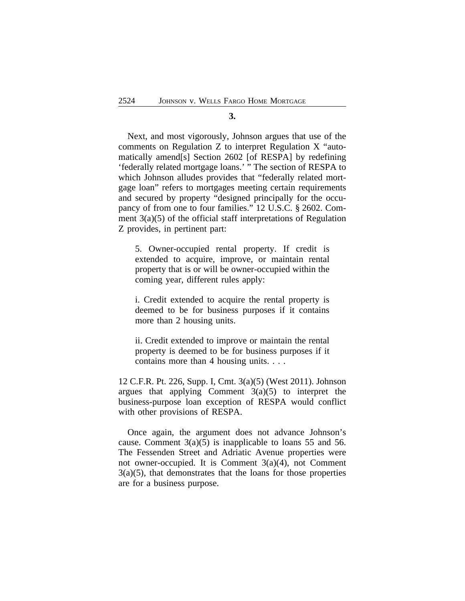#### **3.**

Next, and most vigorously, Johnson argues that use of the comments on Regulation Z to interpret Regulation X "automatically amend[s] Section 2602 [of RESPA] by redefining 'federally related mortgage loans.' " The section of RESPA to which Johnson alludes provides that "federally related mortgage loan" refers to mortgages meeting certain requirements and secured by property "designed principally for the occupancy of from one to four families." 12 U.S.C. § 2602. Comment 3(a)(5) of the official staff interpretations of Regulation Z provides, in pertinent part:

5. Owner-occupied rental property. If credit is extended to acquire, improve, or maintain rental property that is or will be owner-occupied within the coming year, different rules apply:

i. Credit extended to acquire the rental property is deemed to be for business purposes if it contains more than 2 housing units.

ii. Credit extended to improve or maintain the rental property is deemed to be for business purposes if it contains more than 4 housing units. . . .

12 C.F.R. Pt. 226, Supp. I, Cmt. 3(a)(5) (West 2011). Johnson argues that applying Comment  $3(a)(5)$  to interpret the business-purpose loan exception of RESPA would conflict with other provisions of RESPA.

Once again, the argument does not advance Johnson's cause. Comment  $3(a)(5)$  is inapplicable to loans 55 and 56. The Fessenden Street and Adriatic Avenue properties were not owner-occupied. It is Comment 3(a)(4), not Comment 3(a)(5), that demonstrates that the loans for those properties are for a business purpose.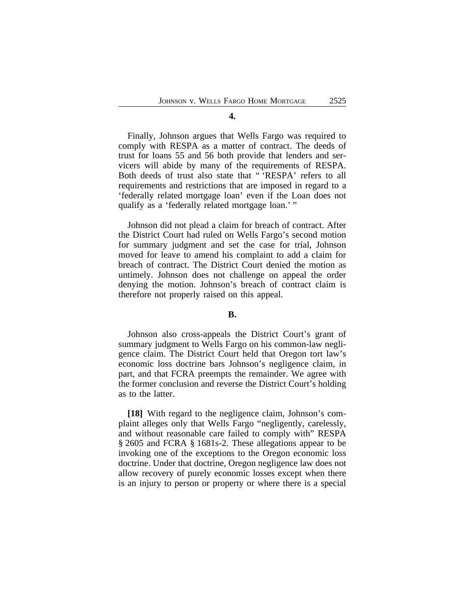**4.**

Finally, Johnson argues that Wells Fargo was required to comply with RESPA as a matter of contract. The deeds of trust for loans 55 and 56 both provide that lenders and servicers will abide by many of the requirements of RESPA. Both deeds of trust also state that " 'RESPA' refers to all requirements and restrictions that are imposed in regard to a 'federally related mortgage loan' even if the Loan does not qualify as a 'federally related mortgage loan.' "

Johnson did not plead a claim for breach of contract. After the District Court had ruled on Wells Fargo's second motion for summary judgment and set the case for trial, Johnson moved for leave to amend his complaint to add a claim for breach of contract. The District Court denied the motion as untimely. Johnson does not challenge on appeal the order denying the motion. Johnson's breach of contract claim is therefore not properly raised on this appeal.

# **B.**

Johnson also cross-appeals the District Court's grant of summary judgment to Wells Fargo on his common-law negligence claim. The District Court held that Oregon tort law's economic loss doctrine bars Johnson's negligence claim, in part, and that FCRA preempts the remainder. We agree with the former conclusion and reverse the District Court's holding as to the latter.

**[18]** With regard to the negligence claim, Johnson's complaint alleges only that Wells Fargo "negligently, carelessly, and without reasonable care failed to comply with" RESPA § 2605 and FCRA § 1681s-2. These allegations appear to be invoking one of the exceptions to the Oregon economic loss doctrine. Under that doctrine, Oregon negligence law does not allow recovery of purely economic losses except when there is an injury to person or property or where there is a special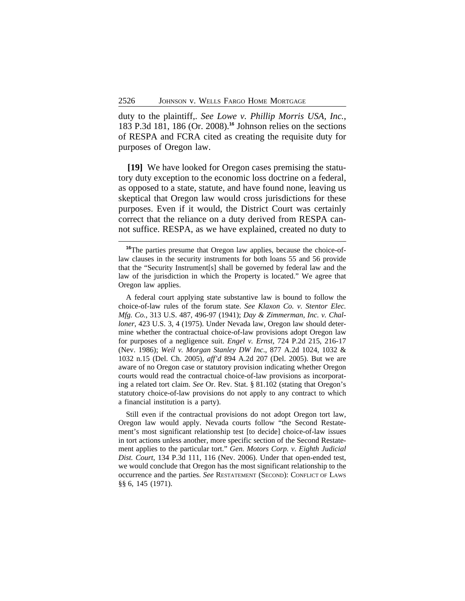duty to the plaintiff,. *See Lowe v. Phillip Morris USA, Inc.*, 183 P.3d 181, 186 (Or. 2008).**<sup>16</sup>** Johnson relies on the sections of RESPA and FCRA cited as creating the requisite duty for purposes of Oregon law.

**[19]** We have looked for Oregon cases premising the statutory duty exception to the economic loss doctrine on a federal, as opposed to a state, statute, and have found none, leaving us skeptical that Oregon law would cross jurisdictions for these purposes. Even if it would, the District Court was certainly correct that the reliance on a duty derived from RESPA cannot suffice. RESPA, as we have explained, created no duty to

A federal court applying state substantive law is bound to follow the choice-of-law rules of the forum state. *See Klaxon Co. v. Stentor Elec. Mfg. Co.*, 313 U.S. 487, 496-97 (1941); *Day & Zimmerman, Inc. v. Challoner*, 423 U.S. 3, 4 (1975). Under Nevada law, Oregon law should determine whether the contractual choice-of-law provisions adopt Oregon law for purposes of a negligence suit. *Engel v. Ernst*, 724 P.2d 215, 216-17 (Nev. 1986); *Weil v. Morgan Stanley DW Inc*., 877 A.2d 1024, 1032 & 1032 n.15 (Del. Ch. 2005), *aff'd* 894 A.2d 207 (Del. 2005). But we are aware of no Oregon case or statutory provision indicating whether Oregon courts would read the contractual choice-of-law provisions as incorporating a related tort claim. *See* Or. Rev. Stat. § 81.102 (stating that Oregon's statutory choice-of-law provisions do not apply to any contract to which a financial institution is a party).

Still even if the contractual provisions do not adopt Oregon tort law, Oregon law would apply. Nevada courts follow "the Second Restatement's most significant relationship test [to decide] choice-of-law issues in tort actions unless another, more specific section of the Second Restatement applies to the particular tort." *Gen. Motors Corp. v. Eighth Judicial Dist. Court*, 134 P.3d 111, 116 (Nev. 2006). Under that open-ended test, we would conclude that Oregon has the most significant relationship to the occurrence and the parties. *See* RESTATEMENT (SECOND): CONFLICT OF LAWS §§ 6, 145 (1971).

**<sup>16</sup>**The parties presume that Oregon law applies, because the choice-oflaw clauses in the security instruments for both loans 55 and 56 provide that the "Security Instrument[s] shall be governed by federal law and the law of the jurisdiction in which the Property is located." We agree that Oregon law applies.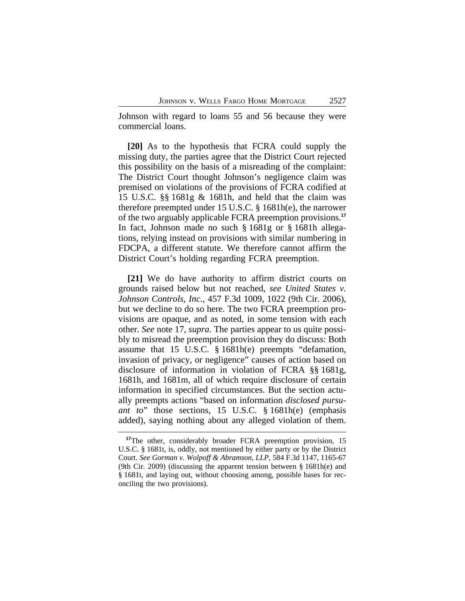Johnson with regard to loans 55 and 56 because they were commercial loans.

**[20]** As to the hypothesis that FCRA could supply the missing duty, the parties agree that the District Court rejected this possibility on the basis of a misreading of the complaint: The District Court thought Johnson's negligence claim was premised on violations of the provisions of FCRA codified at 15 U.S.C. §§ 1681g & 1681h, and held that the claim was therefore preempted under 15 U.S.C. § 1681h(e), the narrower of the two arguably applicable FCRA preemption provisions.**<sup>17</sup>** In fact, Johnson made no such § 1681g or § 1681h allegations, relying instead on provisions with similar numbering in FDCPA, a different statute. We therefore cannot affirm the District Court's holding regarding FCRA preemption.

**[21]** We do have authority to affirm district courts on grounds raised below but not reached, *see United States v. Johnson Controls, Inc.*, 457 F.3d 1009, 1022 (9th Cir. 2006), but we decline to do so here. The two FCRA preemption provisions are opaque, and as noted, in some tension with each other. *See* note 17, *supra*. The parties appear to us quite possibly to misread the preemption provision they do discuss: Both assume that 15 U.S.C. § 1681h(e) preempts "defamation, invasion of privacy, or negligence" causes of action based on disclosure of information in violation of FCRA §§ 1681g, 1681h, and 1681m, all of which require disclosure of certain information in specified circumstances. But the section actually preempts actions "based on information *disclosed pursuant to*" those sections, 15 U.S.C. § 1681h(e) (emphasis added), saying nothing about any alleged violation of them.

**<sup>17</sup>**The other, considerably broader FCRA preemption provision, 15 U.S.C. § 1681t, is, oddly, not mentioned by either party or by the District Court. *See Gorman v. Wolpoff & Abramson, LLP*, 584 F.3d 1147, 1165-67 (9th Cir. 2009) (discussing the apparent tension between § 1681h(e) and § 1681t, and laying out, without choosing among, possible bases for reconciling the two provisions).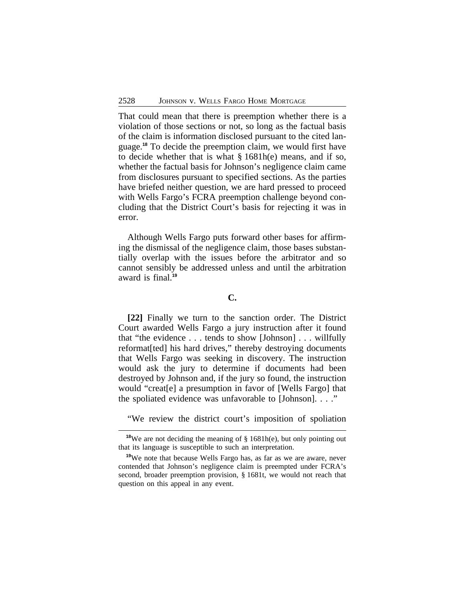That could mean that there is preemption whether there is a violation of those sections or not, so long as the factual basis of the claim is information disclosed pursuant to the cited language.**<sup>18</sup>** To decide the preemption claim, we would first have to decide whether that is what § 1681h(e) means, and if so, whether the factual basis for Johnson's negligence claim came from disclosures pursuant to specified sections. As the parties have briefed neither question, we are hard pressed to proceed with Wells Fargo's FCRA preemption challenge beyond concluding that the District Court's basis for rejecting it was in error.

Although Wells Fargo puts forward other bases for affirming the dismissal of the negligence claim, those bases substantially overlap with the issues before the arbitrator and so cannot sensibly be addressed unless and until the arbitration award is final.**<sup>19</sup>**

# **C.**

**[22]** Finally we turn to the sanction order. The District Court awarded Wells Fargo a jury instruction after it found that "the evidence . . . tends to show [Johnson] . . . willfully reformat[ted] his hard drives," thereby destroying documents that Wells Fargo was seeking in discovery. The instruction would ask the jury to determine if documents had been destroyed by Johnson and, if the jury so found, the instruction would "creat[e] a presumption in favor of [Wells Fargo] that the spoliated evidence was unfavorable to [Johnson]. . . ."

"We review the district court's imposition of spoliation

**<sup>18</sup>**We are not deciding the meaning of § 1681h(e), but only pointing out that its language is susceptible to such an interpretation.

**<sup>19</sup>**We note that because Wells Fargo has, as far as we are aware, never contended that Johnson's negligence claim is preempted under FCRA's second, broader preemption provision, § 1681t, we would not reach that question on this appeal in any event.